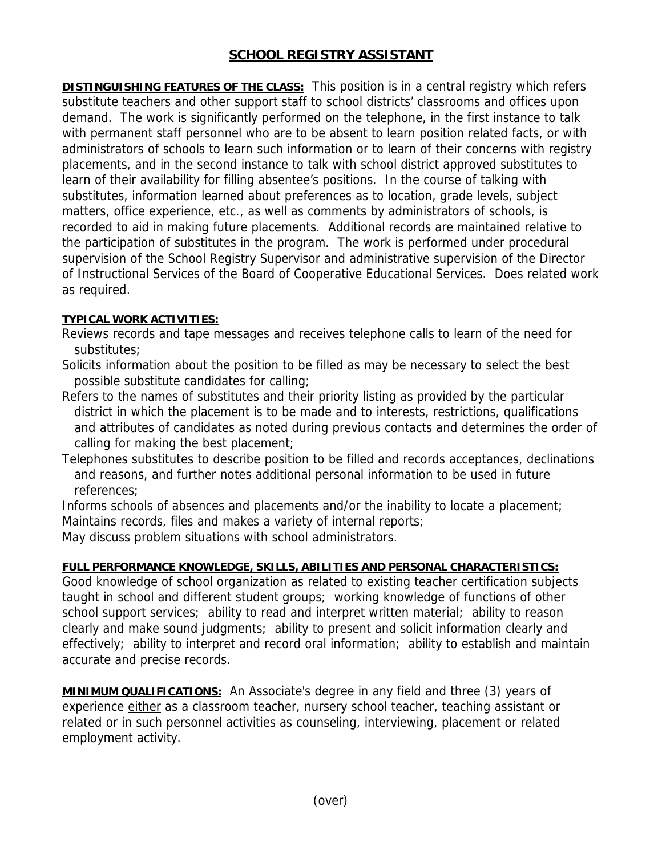## **SCHOOL REGISTRY ASSISTANT**

**DISTINGUISHING FEATURES OF THE CLASS:** This position is in a central registry which refers substitute teachers and other support staff to school districts' classrooms and offices upon demand. The work is significantly performed on the telephone, in the first instance to talk with permanent staff personnel who are to be absent to learn position related facts, or with administrators of schools to learn such information or to learn of their concerns with registry placements, and in the second instance to talk with school district approved substitutes to learn of their availability for filling absentee's positions. In the course of talking with substitutes, information learned about preferences as to location, grade levels, subject matters, office experience, etc., as well as comments by administrators of schools, is recorded to aid in making future placements. Additional records are maintained relative to the participation of substitutes in the program. The work is performed under procedural supervision of the School Registry Supervisor and administrative supervision of the Director of Instructional Services of the Board of Cooperative Educational Services. Does related work as required.

## **TYPICAL WORK ACTIVITIES:**

Reviews records and tape messages and receives telephone calls to learn of the need for substitutes;

Solicits information about the position to be filled as may be necessary to select the best possible substitute candidates for calling;

Refers to the names of substitutes and their priority listing as provided by the particular district in which the placement is to be made and to interests, restrictions, qualifications and attributes of candidates as noted during previous contacts and determines the order of calling for making the best placement;

Telephones substitutes to describe position to be filled and records acceptances, declinations and reasons, and further notes additional personal information to be used in future references;

Informs schools of absences and placements and/or the inability to locate a placement; Maintains records, files and makes a variety of internal reports;

May discuss problem situations with school administrators.

## **FULL PERFORMANCE KNOWLEDGE, SKILLS, ABILITIES AND PERSONAL CHARACTERISTICS:**

Good knowledge of school organization as related to existing teacher certification subjects taught in school and different student groups; working knowledge of functions of other school support services; ability to read and interpret written material; ability to reason clearly and make sound judgments; ability to present and solicit information clearly and effectively; ability to interpret and record oral information; ability to establish and maintain accurate and precise records.

**MINIMUM QUALIFICATIONS:** An Associate's degree in any field and three (3) years of experience either as a classroom teacher, nursery school teacher, teaching assistant or related or in such personnel activities as counseling, interviewing, placement or related employment activity.